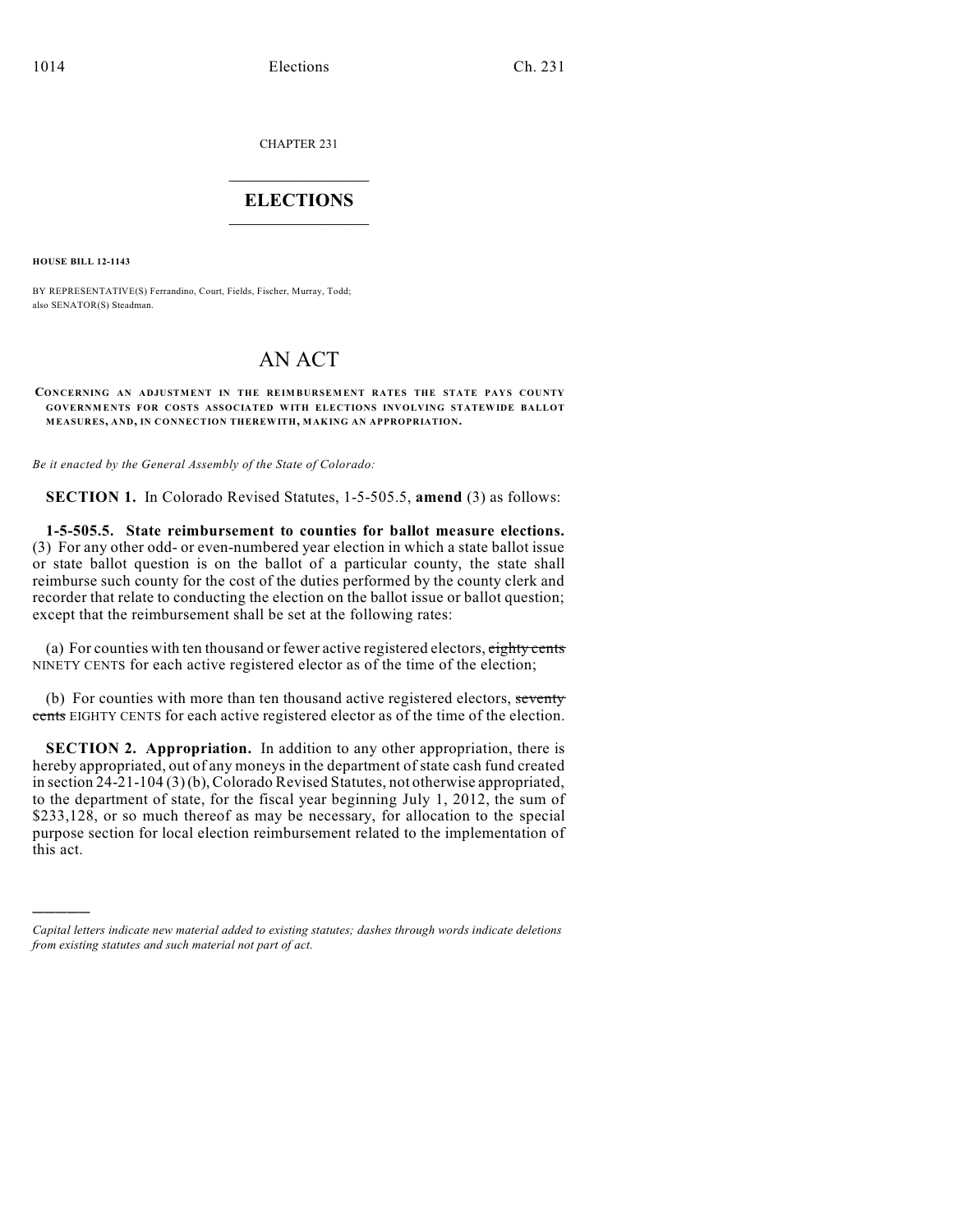CHAPTER 231

## $\mathcal{L}_\text{max}$  . The set of the set of the set of the set of the set of the set of the set of the set of the set of the set of the set of the set of the set of the set of the set of the set of the set of the set of the set **ELECTIONS**  $\_$

**HOUSE BILL 12-1143**

)))))

BY REPRESENTATIVE(S) Ferrandino, Court, Fields, Fischer, Murray, Todd; also SENATOR(S) Steadman.

## AN ACT

**CONCERNING AN ADJUSTMENT IN THE REIM BURSEM ENT RATES THE STATE PAYS COUNTY GOVERNM ENTS FOR COSTS ASSOCIATED WITH ELECTIONS INVOLVING STATEWIDE BALLOT MEASURES, AND, IN CONNECTION THEREWITH, MAKING AN APPROPRIATION.**

*Be it enacted by the General Assembly of the State of Colorado:*

**SECTION 1.** In Colorado Revised Statutes, 1-5-505.5, **amend** (3) as follows:

**1-5-505.5. State reimbursement to counties for ballot measure elections.** (3) For any other odd- or even-numbered year election in which a state ballot issue or state ballot question is on the ballot of a particular county, the state shall reimburse such county for the cost of the duties performed by the county clerk and recorder that relate to conducting the election on the ballot issue or ballot question; except that the reimbursement shall be set at the following rates:

(a) For counties with ten thousand or fewer active registered electors,  $\frac{e^{i}t}{2}$ NINETY CENTS for each active registered elector as of the time of the election;

(b) For counties with more than ten thousand active registered electors, seventy cents EIGHTY CENTS for each active registered elector as of the time of the election.

**SECTION 2. Appropriation.** In addition to any other appropriation, there is hereby appropriated, out of any moneys in the department of state cash fund created in section 24-21-104 (3)(b), Colorado Revised Statutes, not otherwise appropriated, to the department of state, for the fiscal year beginning July 1, 2012, the sum of \$233,128, or so much thereof as may be necessary, for allocation to the special purpose section for local election reimbursement related to the implementation of this act.

*Capital letters indicate new material added to existing statutes; dashes through words indicate deletions from existing statutes and such material not part of act.*